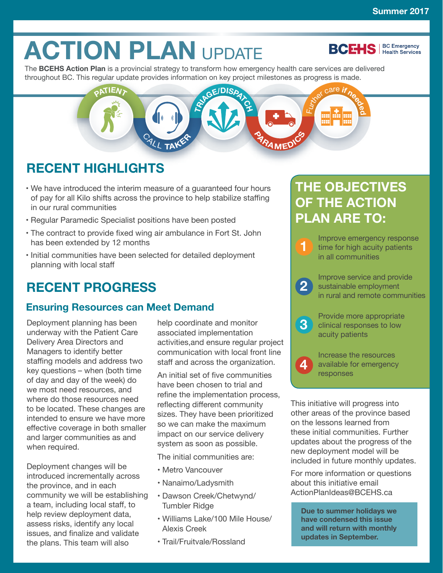# **ACTION PLAN UPDATE**

**BCEHS** | BC Emergency

The **[BCEHS Action Plan](http://www.bcehs.ca/about-site/Documents/transforming-emergency-health-services-action-plan.pdf)** is a provincial strategy to transform how emergency health care services are delivered throughout BC. This regular update provides information on key project milestones as progress is made.



## **RECENT HIGHLIGHTS**

- We have introduced the interim measure of a guaranteed four hours of pay for all Kilo shifts across the province to help stabilize staffing in our rural communities
- Regular Paramedic Specialist positions have been posted
- The contract to provide fixed wing air ambulance in Fort St. John has been extended by 12 months
- Initial communities have been selected for detailed deployment planning with local staff

# **RECENT PROGRESS**

## **Ensuring Resources can Meet Demand**

Deployment planning has been underway with the Patient Care Delivery Area Directors and Managers to identify better staffing models and address two key questions – when (both time of day and day of the week) do we most need resources, and where do those resources need to be located. These changes are intended to ensure we have more effective coverage in both smaller and larger communities as and when required.

Deployment changes will be introduced incrementally across the province, and in each community we will be establishing a team, including local staff, to help review deployment data, assess risks, identify any local issues, and finalize and validate the plans. This team will also

help coordinate and monitor associated implementation activities,and ensure regular project communication with local front line staff and across the organization.

An initial set of five communities have been chosen to trial and refine the implementation process, reflecting different community sizes. They have been prioritized so we can make the maximum impact on our service delivery system as soon as possible.

The initial communities are:

- Metro Vancouver
- Nanaimo/Ladysmith
- Dawson Creek/Chetwynd/ Tumbler Ridge
- Williams Lake/100 Mile House/ Alexis Creek
- Trail/Fruitvale/Rossland

## **THE OBJECTIVES OF THE ACTION PLAN ARE TO:**

**1** Improve emergency response time for high acuity patients in all communities

**2** Improve service and provide<br>
sustainable employment<br>
in www.lead ware to community in rural and remote communities

**4**

**3** Provide more appropriate<br>
clinical responses to low acuity patients

> Increase the resources available for emergency responses

This initiative will progress into other areas of the province based on the lessons learned from these initial communities. Further updates about the progress of the new deployment model will be included in future monthly updates.

For more information or questions about this initiative email ActionPlanIdeas@BCEHS.ca

**Due to summer holidays we have condensed this issue and will return with monthly updates in September.**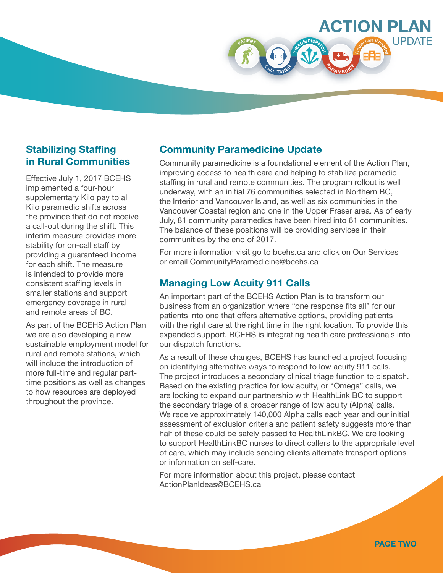

#### **Stabilizing Staffing in Rural Communities**

Effective July 1, 2017 BCEHS implemented a four-hour supplementary Kilo pay to all Kilo paramedic shifts across the province that do not receive a call-out during the shift. This interim measure provides more stability for on-call staff by providing a guaranteed income for each shift. The measure is intended to provide more consistent staffing levels in smaller stations and support emergency coverage in rural and remote areas of BC.

As part of the BCEHS Action Plan we are also developing a new sustainable employment model for rural and remote stations, which will include the introduction of more full-time and regular parttime positions as well as changes to how resources are deployed throughout the province.

#### **Community Paramedicine Update**

Community paramedicine is a foundational element of the Action Plan, improving access to health care and helping to stabilize paramedic staffing in rural and remote communities. The program rollout is well underway, with an initial 76 communities selected in Northern BC, the Interior and Vancouver Island, as well as six communities in the Vancouver Coastal region and one in the Upper Fraser area. As of early July, 81 community paramedics have been hired into 61 communities. The balance of these positions will be providing services in their communities by the end of 2017.

For more information visit go to bcehs.ca and click on Our Services or email CommunityParamedicine@bcehs.ca

#### **Managing Low Acuity 911 Calls**

An important part of the BCEHS Action Plan is to transform our business from an organization where "one response fits all" for our patients into one that offers alternative options, providing patients with the right care at the right time in the right location. To provide this expanded support, BCEHS is integrating health care professionals into our dispatch functions.

As a result of these changes, BCEHS has launched a project focusing on identifying alternative ways to respond to low acuity 911 calls. The project introduces a secondary clinical triage function to dispatch. Based on the existing practice for low acuity, or "Omega" calls, we are looking to expand our partnership with HealthLink BC to support the secondary triage of a broader range of low acuity (Alpha) calls. We receive approximately 140,000 Alpha calls each year and our initial assessment of exclusion criteria and patient safety suggests more than half of these could be safely passed to HealthLinkBC. We are looking to support HealthLinkBC nurses to direct callers to the appropriate level of care, which may include sending clients alternate transport options or information on self-care.

For more information about this project, please contact ActionPlanIdeas@BCEHS.ca